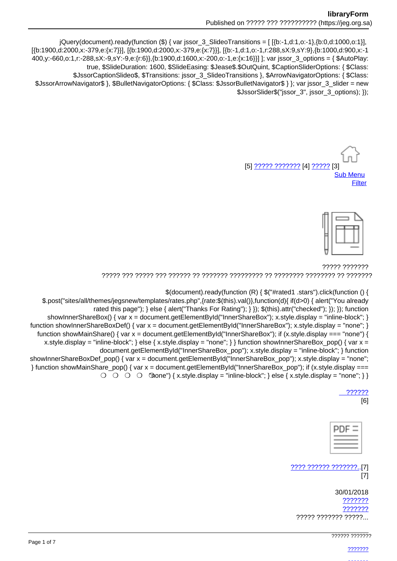jQuery(document).ready(function (\$) { var jssor\_3\_SlideoTransitions = [[{b:-1,d:1,o:-1},{b:0,d:1000,o:1}], [{b:1900,d:2000,x:-379,e:{x:7}}], [{b:1900,d:2000,x:-379,e:{x:7}}], [{b:-1,d:1,o:-1,r:288,sX:9,sY:9}, {b:1000,d:900,x:-1 400,y:-660,o:1,r:-288,sX:-9,sY:-9,e:{r:6}},{b:1900,d:1600,x:-200,o:-1,e:{x:16}}] ]; var jssor\_3\_options = { \$AutoPlay: true, \$SlideDuration: 1600, \$SlideEasing: \$Jease\$.\$OutQuint, \$CaptionSliderOptions: { \$Class: \$JssorCaptionSlideo\$, \$Transitions: jssor\_3\_SlideoTransitions }, \$ArrowNavigatorOptions: { \$Class: \$JssorArrowNavigator\$ }, \$BulletNavigatorOptions: { \$Class: \$JssorBulletNavigator\$ } }; var jssor\_3\_slider = new \$JssorSlider\$("jssor 3", jssor 3 options); });

> [5] <u>????? ????????</u> [4] ????? [3] **Sub Menu** Filter



77777 7777777 דרדרדרד רד רדרדרדרד רדרדרדר רד רדרדרדיך רדרדרד רדרדר רד רדרדרד רדר רדרד רדר רדר ר

\$(document).ready(function (R) { \$("#rated1 .stars").click(function () {

\$.post("sites/all/themes/jegsnew/templates/rates.php",{rate:\$(this).val()},function(d){ if(d>0) { alert("You already rated this page"); } else { alert("Thanks For Rating"); } }); \$(this).attr("checked"); }); }); function showInnerShareBox() { var  $x =$  document.getElementById("InnerShareBox"); x.style.display = "inline-block"; } function showInnerShareBoxDef() { var x = document.getElementById("InnerShareBox"); x.style.display = "none"; } function showMainShare() { var  $x =$  document.getElementById("InnerShareBox"); if (x.style.display === "none") { x.style.display = "inline-block"; } else { x.style.display = "none"; } } function show Inner ShareBox pop() { var  $x =$ document.getElementById("InnerShareBox pop"); x.style.display = "inline-block"; } function showInnerShareBoxDef\_pop() { var x = document.getElementById("InnerShareBox\_pop"); x.style.display = "none"; } function showMainShare\_pop() { var x = document.getElementById("InnerShareBox\_pop"); if (x.style.display ===  $\bigcirc$   $\bigcirc$   $\bigcirc$   $\bigcirc$   $\bigcirc$   $\bigcirc$   $\bigcirc$   $\bigcirc$   $\bigcirc$   $\bigcirc$   $\bigcirc$   $\bigcirc$   $\bigcirc$   $\bigcirc$   $\bigcirc$   $\bigcirc$   $\bigcirc$   $\bigcirc$   $\bigcirc$   $\bigcirc$   $\bigcirc$   $\bigcirc$   $\bigcirc$   $\bigcirc$   $\bigcirc$   $\bigcirc$   $\bigcirc$   $\bigcirc$   $\bigcirc$   $\bigcirc$   $\bigcirc$   $\bigcirc$   $\bigcirc$   $\bigcirc$   $\bigcirc$   $\bigcirc$   $\bigcirc$ 

 $[6]$ 

| ÷      |  |
|--------|--|
| -<br>_ |  |

???? ?????? ????????..[7]  $[7]$ 

30/01/2018 ??????? 7777777 ????? ??????? ?????...

7????? ???????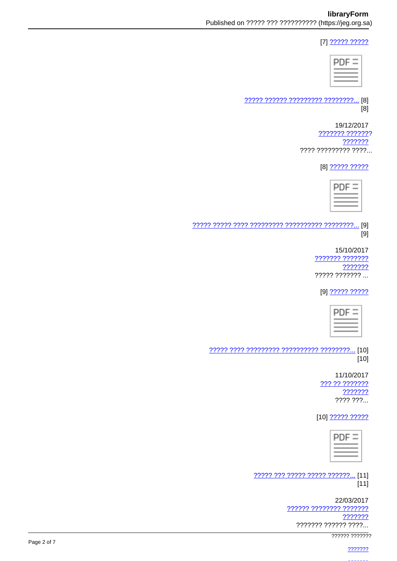## [7] 22222 22222

| D | - = |
|---|-----|
|   |     |

22222 222222 222222222 22222222... [8]  $[8]$ 

> 19/12/2017 <u> ??????? ???????</u> ??????? ???? ????????? ????...

> > [8] ????? ?????

<u>..</u> [9]  $[9]$ 

> 15/10/2017 2222222 2222222 ??????? ????? ??????? ...

[9] ????? ?????



 $[10]$ 

> 11/10/2017 ??? ?? ??????? ??????? ???? ???...

[10] ????? ?????



????? ??? ????? ????? ??????... [11]  $[11]$ 

> 22/03/2017 ?????? ???????? ??????? ??????? ??????? ?????? ????...

777777 777777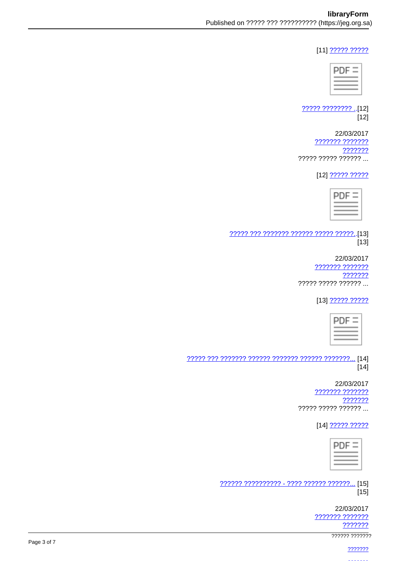## [11] ????? ?????

| - |  |
|---|--|
|   |  |

22222 22222222.[12]  $[12]$ 

22/03/2017 ??????? ??????? ??????? ????? ????? ?????? ...

[12] 22222 22222

77777 777 7777777 777777 77777 77777...[13]  $[13]$ 

> 22/03/2017 ??????? ??????? ??????? ????? ????? ?????? ...

> > [13] 22222 22222



 $[14]$ 

> 22/03/2017 7777777 7777777 ??????? ????? ????? ?????? ...

> > [14] 22222 22222

| - 2<br>П<br>_____ |  |
|-------------------|--|
| -<br>--<br>_      |  |

<u> ?????? ?????????? - ???? ?????? ??????...</u> [15]  $[15]$ 

> 22/03/2017 ??????? ??????? ???????

777777 7777777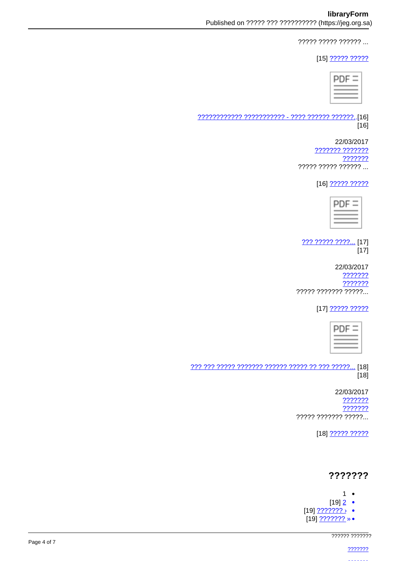????? ????? ?????? ...

[15] 22222 22222

| c<br>H |  |
|--------|--|
|        |  |
|        |  |

 $[16]$ 

> 22/03/2017 ??????? ??????? ??????? ????? ????? ?????? ...

> > [16] ????? ?????



222 22222 2222... [17]  $[17]$ 

22/03/2017 ??????? ??????? ????? ??????? ?????...

[17] 22222 22222



 $[18]$ 

> 22/03/2017 ??????? ??????? ????? ??????? ?????...

> > [18] ????? ?????

# ???????

- $1 -$
- $[19]$   $2$   $\bullet$
- $[19]$  ???????? •
- .<br>[19]<u>??????? » ●</u>

777777 7777777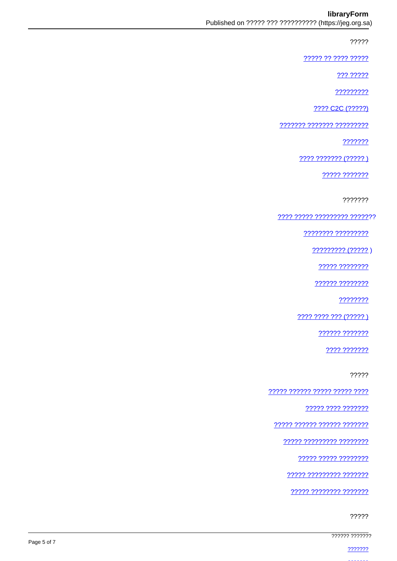## libraryForm

?????

????? ?? ???? ?????

222 22222

?????????

???? C2C (?????)

??????? ??????? ?????????

???????

???? ??????? (????? )

????? ???????

???????

<u> ???? ????? ????????? ???????</u>

???????? ?????????

????????? (????? )

????? ????????

777777 77777777

????????

???? ???? ??? (????? )

?????? ???????

???? ???????

?????

????? ?????? ????? ????? ????

77777 7777 7777777

22222 222222 222222 2222222

????? ????????? ????????

????? ????? ????????

77777 777777777 7777777

77777 77777777 7777777

?????

777777 7777777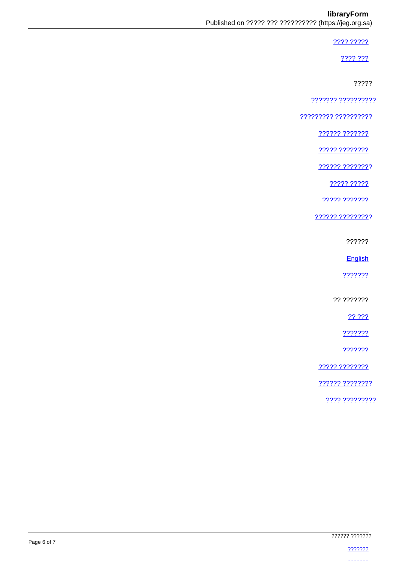#### libraryForm

#### ???? ?????

2222.222

?????

7777777 7777777777

777777777 7777777777

<u> ?????? ???????</u>

????? ????????

222222 22222222

????? ?????

????? ???????

?????? ?????????

??????

English

???????

?? ???????

?? ???

???????

???????

????? ????????

?????? ????????

???? ?????????